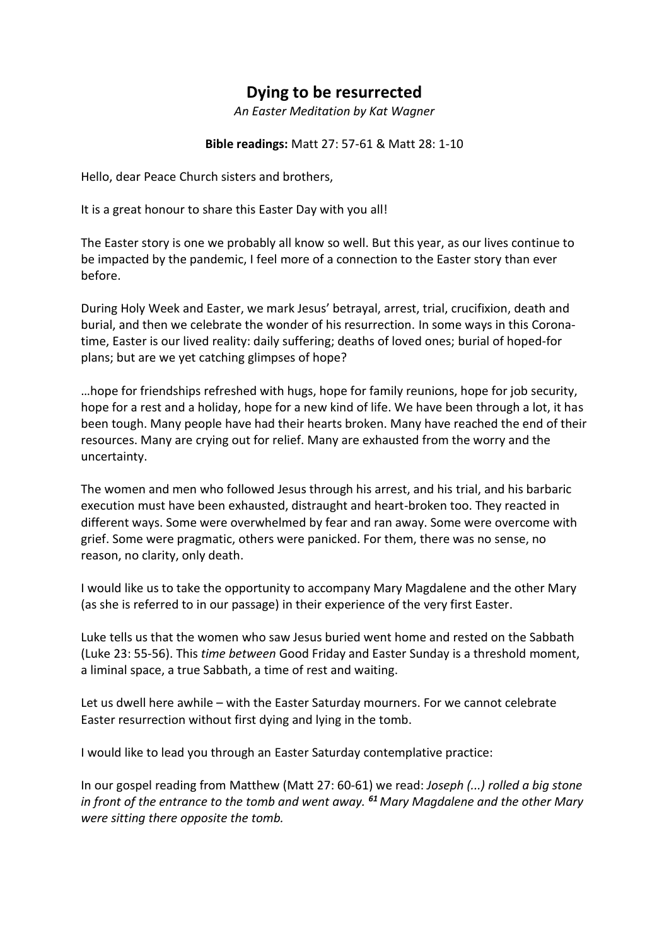## **Dying to be resurrected**

*An Easter Meditation by Kat Wagner*

**Bible readings:** Matt 27: 57-61 & Matt 28: 1-10

Hello, dear Peace Church sisters and brothers,

It is a great honour to share this Easter Day with you all!

The Easter story is one we probably all know so well. But this year, as our lives continue to be impacted by the pandemic, I feel more of a connection to the Easter story than ever before.

During Holy Week and Easter, we mark Jesus' betrayal, arrest, trial, crucifixion, death and burial, and then we celebrate the wonder of his resurrection. In some ways in this Coronatime, Easter is our lived reality: daily suffering; deaths of loved ones; burial of hoped-for plans; but are we yet catching glimpses of hope?

…hope for friendships refreshed with hugs, hope for family reunions, hope for job security, hope for a rest and a holiday, hope for a new kind of life. We have been through a lot, it has been tough. Many people have had their hearts broken. Many have reached the end of their resources. Many are crying out for relief. Many are exhausted from the worry and the uncertainty.

The women and men who followed Jesus through his arrest, and his trial, and his barbaric execution must have been exhausted, distraught and heart-broken too. They reacted in different ways. Some were overwhelmed by fear and ran away. Some were overcome with grief. Some were pragmatic, others were panicked. For them, there was no sense, no reason, no clarity, only death.

I would like us to take the opportunity to accompany Mary Magdalene and the other Mary (as she is referred to in our passage) in their experience of the very first Easter.

Luke tells us that the women who saw Jesus buried went home and rested on the Sabbath (Luke 23: 55-56). This *time between* Good Friday and Easter Sunday is a threshold moment, a liminal space, a true Sabbath, a time of rest and waiting.

Let us dwell here awhile – with the Easter Saturday mourners. For we cannot celebrate Easter resurrection without first dying and lying in the tomb.

I would like to lead you through an Easter Saturday contemplative practice:

In our gospel reading from Matthew (Matt 27: 60-61) we read: *Joseph (...) rolled a big stone in front of the entrance to the tomb and went away. <sup>61</sup> Mary Magdalene and the other Mary were sitting there opposite the tomb.*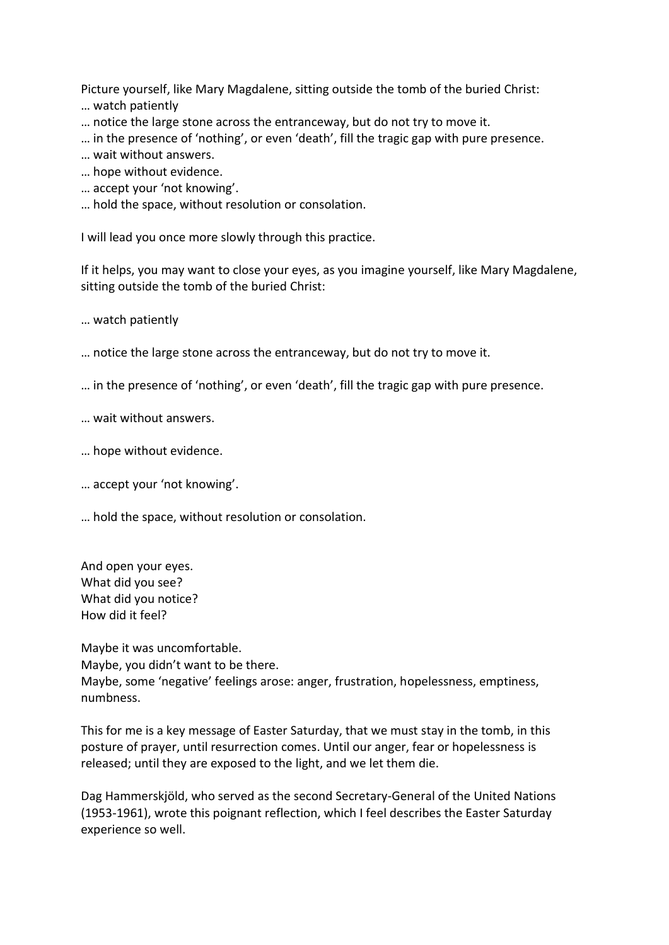Picture yourself, like Mary Magdalene, sitting outside the tomb of the buried Christ:

- … watch patiently
- … notice the large stone across the entranceway, but do not try to move it.
- … in the presence of 'nothing', or even 'death', fill the tragic gap with pure presence.
- … wait without answers.
- … hope without evidence.
- … accept your 'not knowing'.
- … hold the space, without resolution or consolation.

I will lead you once more slowly through this practice.

If it helps, you may want to close your eyes, as you imagine yourself, like Mary Magdalene, sitting outside the tomb of the buried Christ:

… watch patiently

- … notice the large stone across the entranceway, but do not try to move it.
- … in the presence of 'nothing', or even 'death', fill the tragic gap with pure presence.

… wait without answers.

- … hope without evidence.
- … accept your 'not knowing'.
- … hold the space, without resolution or consolation.

And open your eyes. What did you see? What did you notice? How did it feel?

Maybe it was uncomfortable. Maybe, you didn't want to be there. Maybe, some 'negative' feelings arose: anger, frustration, hopelessness, emptiness, numbness.

This for me is a key message of Easter Saturday, that we must stay in the tomb, in this posture of prayer, until resurrection comes. Until our anger, fear or hopelessness is released; until they are exposed to the light, and we let them die.

Dag Hammerskjöld, who served as the second Secretary-General of the United Nations (1953-1961), wrote this poignant reflection, which I feel describes the Easter Saturday experience so well.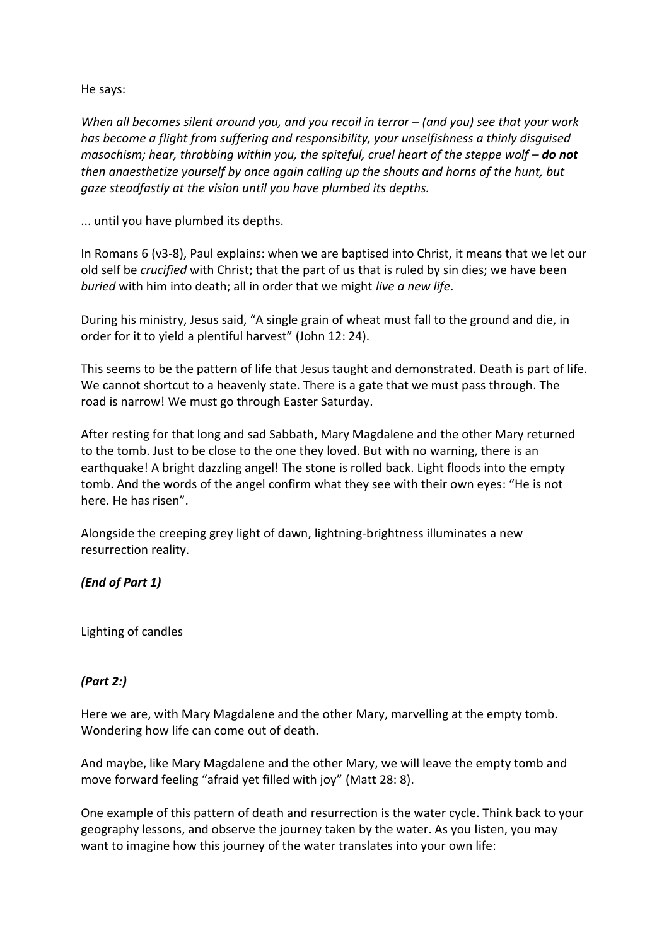## He says:

*When all becomes silent around you, and you recoil in terror – (and you) see that your work has become a flight from suffering and responsibility, your unselfishness a thinly disguised masochism; hear, throbbing within you, the spiteful, cruel heart of the steppe wolf – do not then anaesthetize yourself by once again calling up the shouts and horns of the hunt, but gaze steadfastly at the vision until you have plumbed its depths.* 

... until you have plumbed its depths.

In Romans 6 (v3-8), Paul explains: when we are baptised into Christ, it means that we let our old self be *crucified* with Christ; that the part of us that is ruled by sin dies; we have been *buried* with him into death; all in order that we might *live a new life*.

During his ministry, Jesus said, "A single grain of wheat must fall to the ground and die, in order for it to yield a plentiful harvest" (John 12: 24).

This seems to be the pattern of life that Jesus taught and demonstrated. Death is part of life. We cannot shortcut to a heavenly state. There is a gate that we must pass through. The road is narrow! We must go through Easter Saturday.

After resting for that long and sad Sabbath, Mary Magdalene and the other Mary returned to the tomb. Just to be close to the one they loved. But with no warning, there is an earthquake! A bright dazzling angel! The stone is rolled back. Light floods into the empty tomb. And the words of the angel confirm what they see with their own eyes: "He is not here. He has risen".

Alongside the creeping grey light of dawn, lightning-brightness illuminates a new resurrection reality.

## *(End of Part 1)*

Lighting of candles

## *(Part 2:)*

Here we are, with Mary Magdalene and the other Mary, marvelling at the empty tomb. Wondering how life can come out of death.

And maybe, like Mary Magdalene and the other Mary, we will leave the empty tomb and move forward feeling "afraid yet filled with joy" (Matt 28: 8).

One example of this pattern of death and resurrection is the water cycle. Think back to your geography lessons, and observe the journey taken by the water. As you listen, you may want to imagine how this journey of the water translates into your own life: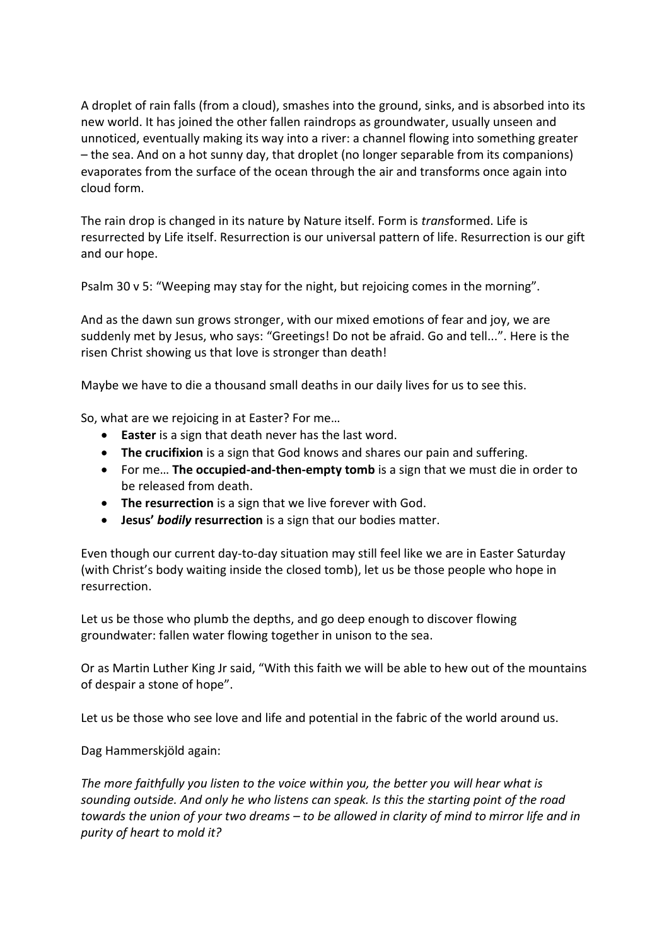A droplet of rain falls (from a cloud), smashes into the ground, sinks, and is absorbed into its new world. It has joined the other fallen raindrops as groundwater, usually unseen and unnoticed, eventually making its way into a river: a channel flowing into something greater – the sea. And on a hot sunny day, that droplet (no longer separable from its companions) evaporates from the surface of the ocean through the air and transforms once again into cloud form.

The rain drop is changed in its nature by Nature itself. Form is *trans*formed. Life is resurrected by Life itself. Resurrection is our universal pattern of life. Resurrection is our gift and our hope.

Psalm 30 v 5: "Weeping may stay for the night, but rejoicing comes in the morning".

And as the dawn sun grows stronger, with our mixed emotions of fear and joy, we are suddenly met by Jesus, who says: "Greetings! Do not be afraid. Go and tell...". Here is the risen Christ showing us that love is stronger than death!

Maybe we have to die a thousand small deaths in our daily lives for us to see this.

So, what are we rejoicing in at Easter? For me…

- **Easter** is a sign that death never has the last word.
- **The crucifixion** is a sign that God knows and shares our pain and suffering.
- For me… **The occupied-and-then-empty tomb** is a sign that we must die in order to be released from death.
- **The resurrection** is a sign that we live forever with God.
- **Jesus'** *bodily* **resurrection** is a sign that our bodies matter.

Even though our current day-to-day situation may still feel like we are in Easter Saturday (with Christ's body waiting inside the closed tomb), let us be those people who hope in resurrection.

Let us be those who plumb the depths, and go deep enough to discover flowing groundwater: fallen water flowing together in unison to the sea.

Or as Martin Luther King Jr said, "With this faith we will be able to hew out of the mountains of despair a stone of hope".

Let us be those who see love and life and potential in the fabric of the world around us.

Dag Hammerskjöld again:

*The more faithfully you listen to the voice within you, the better you will hear what is sounding outside. And only he who listens can speak. Is this the starting point of the road towards the union of your two dreams – to be allowed in clarity of mind to mirror life and in purity of heart to mold it?*